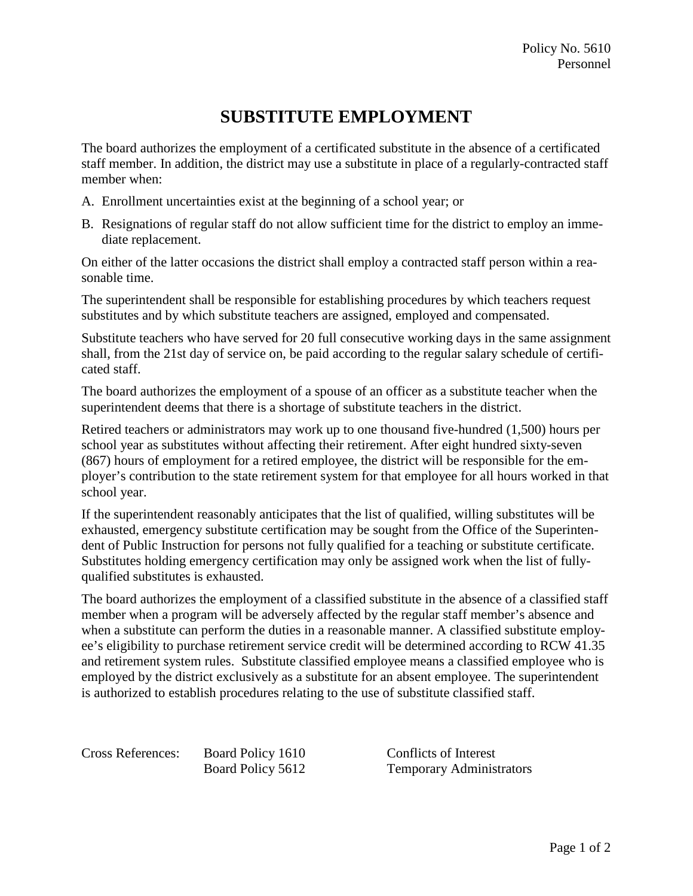## **SUBSTITUTE EMPLOYMENT**

The board authorizes the employment of a certificated substitute in the absence of a certificated staff member. In addition, the district may use a substitute in place of a regularly-contracted staff member when:

- A. Enrollment uncertainties exist at the beginning of a school year; or
- B. Resignations of regular staff do not allow sufficient time for the district to employ an immediate replacement.

On either of the latter occasions the district shall employ a contracted staff person within a reasonable time.

The superintendent shall be responsible for establishing procedures by which teachers request substitutes and by which substitute teachers are assigned, employed and compensated.

Substitute teachers who have served for 20 full consecutive working days in the same assignment shall, from the 21st day of service on, be paid according to the regular salary schedule of certificated staff.

The board authorizes the employment of a spouse of an officer as a substitute teacher when the superintendent deems that there is a shortage of substitute teachers in the district.

Retired teachers or administrators may work up to one thousand five-hundred (1,500) hours per school year as substitutes without affecting their retirement. After eight hundred sixty-seven (867) hours of employment for a retired employee, the district will be responsible for the employer's contribution to the state retirement system for that employee for all hours worked in that school year.

If the superintendent reasonably anticipates that the list of qualified, willing substitutes will be exhausted, emergency substitute certification may be sought from the Office of the Superintendent of Public Instruction for persons not fully qualified for a teaching or substitute certificate. Substitutes holding emergency certification may only be assigned work when the list of fullyqualified substitutes is exhausted.

The board authorizes the employment of a classified substitute in the absence of a classified staff member when a program will be adversely affected by the regular staff member's absence and when a substitute can perform the duties in a reasonable manner. A classified substitute employee's eligibility to purchase retirement service credit will be determined according to RCW 41.35 and retirement system rules. Substitute classified employee means a classified employee who is employed by the district exclusively as a substitute for an absent employee. The superintendent is authorized to establish procedures relating to the use of substitute classified staff.

Cross References: Board Policy 1610 Conflicts of Interest Board Policy 5612 Temporary Administrators